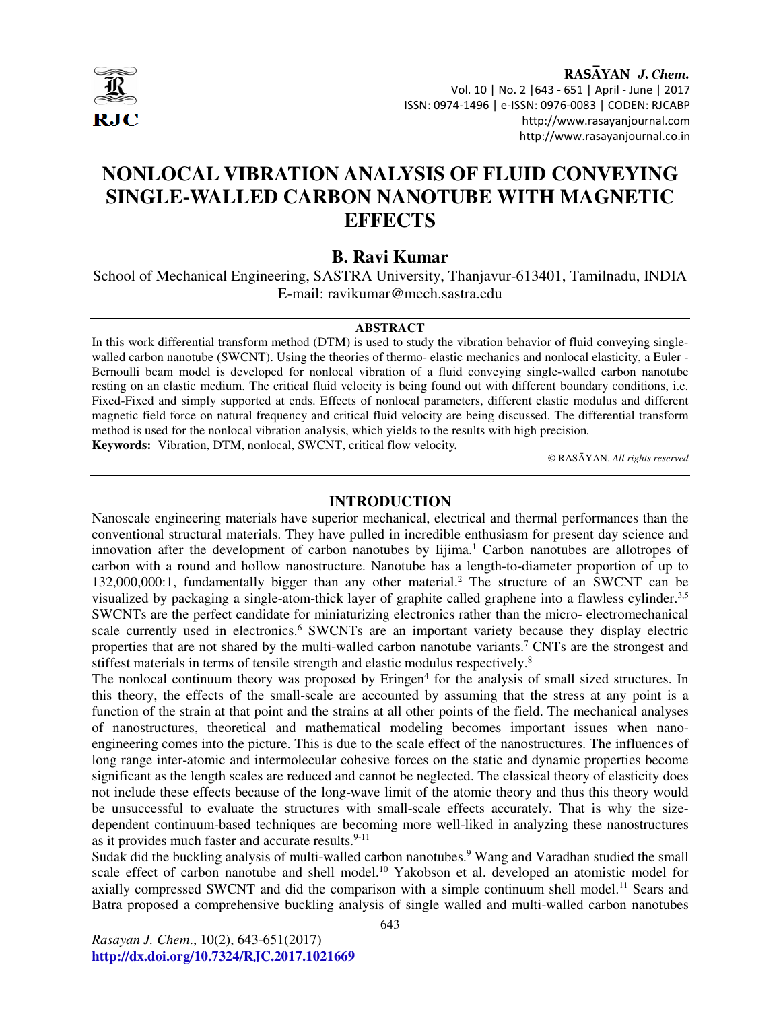

RASAYAN J. Chem. Vol. 10 | No. 2 |643 - 651 | April - June | 2017 ISSN: 0974-1496 | e-ISSN: 0976-0083 | CODEN: RJCABP http://www.rasayanjournal.com http://www.rasayanjournal.co.in

# **NONLOCAL VIBRATION ANALYSIS OF FLUID CONVEYING SINGLE-WALLED CARBON NANOTUBE WITH MAGNETIC EFFECTS**

# **B. Ravi Kumar**

School of Mechanical Engineering, SASTRA University, Thanjavur-613401, Tamilnadu, INDIA E-mail: ravikumar@mech.sastra.edu

#### **ABSTRACT**

In this work differential transform method (DTM) is used to study the vibration behavior of fluid conveying singlewalled carbon nanotube (SWCNT). Using the theories of thermo- elastic mechanics and nonlocal elasticity, a Euler - Bernoulli beam model is developed for nonlocal vibration of a fluid conveying single-walled carbon nanotube resting on an elastic medium. The critical fluid velocity is being found out with different boundary conditions, i.e. Fixed-Fixed and simply supported at ends. Effects of nonlocal parameters, different elastic modulus and different magnetic field force on natural frequency and critical fluid velocity are being discussed. The differential transform method is used for the nonlocal vibration analysis, which yields to the results with high precision*.* 

**Keywords:** Vibration, DTM, nonlocal, SWCNT, critical flow velocity*.* 

© RASĀYAN. *All rights reserved*

#### **INTRODUCTION**

Nanoscale engineering materials have superior mechanical, electrical and thermal performances than the conventional structural materials. They have pulled in incredible enthusiasm for present day science and innovation after the development of carbon nanotubes by Iijima.<sup>1</sup> Carbon nanotubes are allotropes of carbon with a round and hollow nanostructure. Nanotube has a length-to-diameter proportion of up to 132,000,000:1, fundamentally bigger than any other material.<sup>2</sup> The structure of an SWCNT can be visualized by packaging a single-atom-thick layer of graphite called graphene into a flawless cylinder.<sup>3,5</sup> SWCNTs are the perfect candidate for miniaturizing electronics rather than the micro- electromechanical scale currently used in electronics.<sup>6</sup> SWCNTs are an important variety because they display electric properties that are not shared by the multi-walled carbon nanotube variants.<sup>7</sup> CNTs are the strongest and stiffest materials in terms of tensile strength and elastic modulus respectively.<sup>8</sup>

The nonlocal continuum theory was proposed by Eringen<sup>4</sup> for the analysis of small sized structures. In this theory, the effects of the small-scale are accounted by assuming that the stress at any point is a function of the strain at that point and the strains at all other points of the field. The mechanical analyses of nanostructures, theoretical and mathematical modeling becomes important issues when nanoengineering comes into the picture. This is due to the scale effect of the nanostructures. The influences of long range inter-atomic and intermolecular cohesive forces on the static and dynamic properties become significant as the length scales are reduced and cannot be neglected. The classical theory of elasticity does not include these effects because of the long-wave limit of the atomic theory and thus this theory would be unsuccessful to evaluate the structures with small-scale effects accurately. That is why the sizedependent continuum-based techniques are becoming more well-liked in analyzing these nanostructures as it provides much faster and accurate results.<sup>9-11</sup>

Sudak did the buckling analysis of multi-walled carbon nanotubes.<sup>9</sup> Wang and Varadhan studied the small scale effect of carbon nanotube and shell model.<sup>10</sup> Yakobson et al. developed an atomistic model for axially compressed SWCNT and did the comparison with a simple continuum shell model.<sup>11</sup> Sears and Batra proposed a comprehensive buckling analysis of single walled and multi-walled carbon nanotubes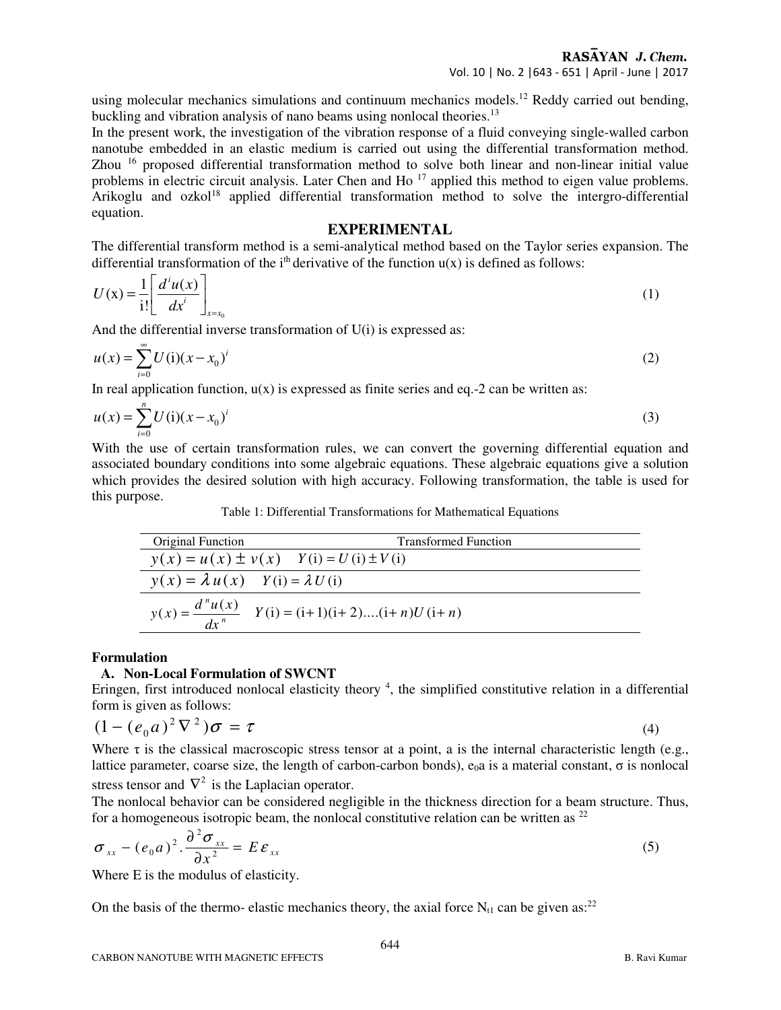RASAYAN J. Chem. Vol. 10 | No. 2 |643 - 651 | April - June | 2017

using molecular mechanics simulations and continuum mechanics models.<sup>12</sup> Reddy carried out bending, buckling and vibration analysis of nano beams using nonlocal theories.<sup>13</sup>

In the present work, the investigation of the vibration response of a fluid conveying single-walled carbon nanotube embedded in an elastic medium is carried out using the differential transformation method. Zhou <sup>16</sup> proposed differential transformation method to solve both linear and non-linear initial value problems in electric circuit analysis. Later Chen and Ho<sup>17</sup> applied this method to eigen value problems. Arikoglu and ozkol<sup>18</sup> applied differential transformation method to solve the intergro-differential equation.

## **EXPERIMENTAL**

The differential transform method is a semi-analytical method based on the Taylor series expansion. The differential transformation of the i<sup>th</sup> derivative of the function  $u(x)$  is defined as follows:

$$
U(\mathbf{x}) = \frac{1}{i!} \left[ \frac{d^i u(\mathbf{x})}{d\mathbf{x}^i} \right]_{\mathbf{x} = \mathbf{x}_0} \tag{1}
$$

And the differential inverse transformation of U(i) is expressed as:

$$
u(x) = \sum_{i=0}^{\infty} U(i)(x - x_0)^i
$$
 (2)

In real application function,  $u(x)$  is expressed as finite series and eq.-2 can be written as:

$$
u(x) = \sum_{i=0}^{n} U(i)(x - x_0)^i
$$
 (3)

With the use of certain transformation rules, we can convert the governing differential equation and associated boundary conditions into some algebraic equations. These algebraic equations give a solution which provides the desired solution with high accuracy. Following transformation, the table is used for this purpose.

Table 1: Differential Transformations for Mathematical Equations

| <b>Original Function</b>                    | <b>Transformed Function</b>                                      |
|---------------------------------------------|------------------------------------------------------------------|
|                                             | $y(x) = u(x) \pm v(x)$ $Y(i) = U(i) \pm V(i)$                    |
| $y(x) = \lambda u(x)$ $Y(i) = \lambda U(i)$ |                                                                  |
|                                             | $y(x) = \frac{d^{n}u(x)}{dx^{n}}$ $Y(i) = (i+1)(i+2)(i+n)U(i+n)$ |

#### **Formulation**

#### **A. Non-Local Formulation of SWCNT**

Eringen, first introduced nonlocal elasticity theory <sup>4</sup>, the simplified constitutive relation in a differential form is given as follows:

$$
(1 - (e_0 a)^2 \nabla^2) \sigma = \tau
$$
 (4)

Where  $\tau$  is the classical macroscopic stress tensor at a point, a is the internal characteristic length (e.g., lattice parameter, coarse size, the length of carbon-carbon bonds),  $e<sub>0</sub>a$  is a material constant, σ is nonlocal stress tensor and  $\nabla^2$  is the Laplacian operator.

The nonlocal behavior can be considered negligible in the thickness direction for a beam structure. Thus, for a homogeneous isotropic beam, the nonlocal constitutive relation can be written as  $2^2$ 

$$
\sigma_{xx} - (e_0 a)^2 \cdot \frac{\partial^2 \sigma_{xx}}{\partial x^2} = E \varepsilon_{xx}
$$
 (5)

Where E is the modulus of elasticity.

On the basis of the thermo- elastic mechanics theory, the axial force  $N_{t1}$  can be given as:<sup>22</sup>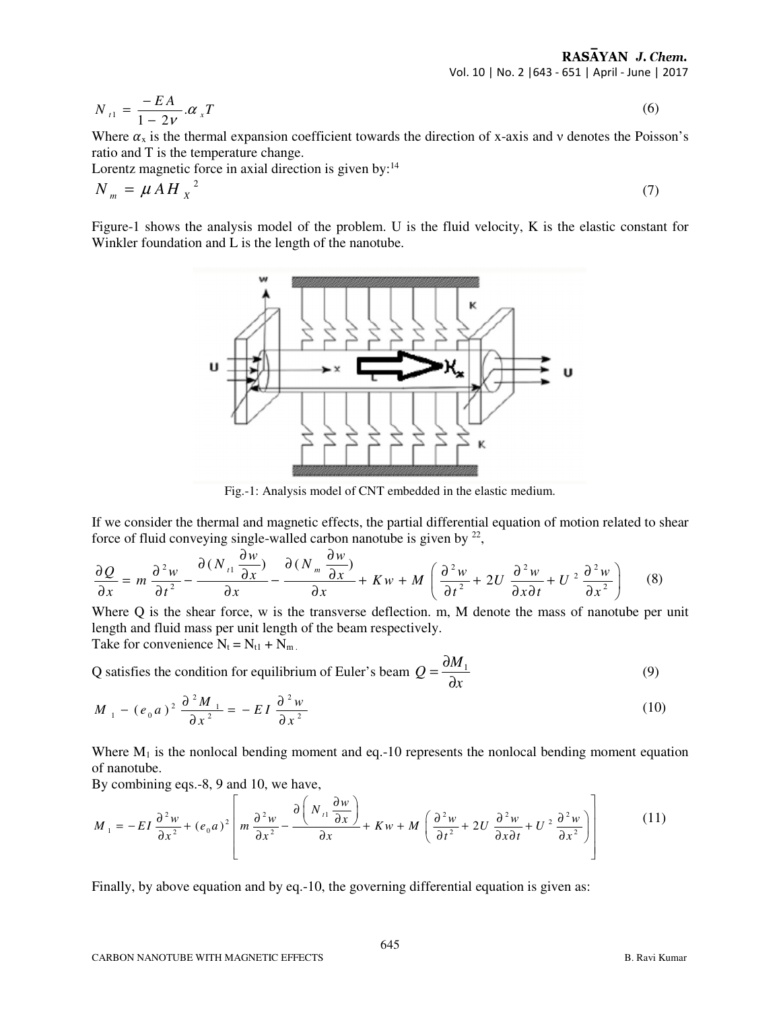RASAYAN J. Chem. Vol. 10 | No. 2 |643 - 651 | April - June | 2017

 $t_1 = \frac{2H}{1 - 2V} . \alpha_x$  $N_{t_1} = \frac{-EA}{1-2V} . \alpha_x T$  $=\frac{-}{1}$ − (6)

Where  $\alpha_x$  is the thermal expansion coefficient towards the direction of x-axis and v denotes the Poisson's ratio and T is the temperature change.

Lorentz magnetic force in axial direction is given by:<sup>14</sup>

$$
N_m = \mu A H_x^2 \tag{7}
$$

Figure-1 shows the analysis model of the problem. U is the fluid velocity, K is the elastic constant for Winkler foundation and L is the length of the nanotube.



Fig.-1: Analysis model of CNT embedded in the elastic medium.

If we consider the thermal and magnetic effects, the partial differential equation of motion related to shear force of fluid conveying single-walled carbon nanotube is given by  $2^2$ ,

$$
\frac{\partial Q}{\partial x} = m \frac{\partial^2 w}{\partial t^2} - \frac{\partial (N_{t1} \frac{\partial w}{\partial x})}{\partial x} - \frac{\partial (N_m \frac{\partial w}{\partial x})}{\partial x} + Kw + M\left(\frac{\partial^2 w}{\partial t^2} + 2U \frac{\partial^2 w}{\partial x \partial t} + U^2 \frac{\partial^2 w}{\partial x^2}\right) \tag{8}
$$

Where Q is the shear force, w is the transverse deflection. m, M denote the mass of nanotube per unit length and fluid mass per unit length of the beam respectively. Take for convenience  $N_t = N_{t1} + N_{m}$ .

Q satisfies the condition for equilibrium of Euler's beam  $Q = \frac{\partial M_1}{\partial q}$ *x*  $=\frac{\partial}{\partial x}$ ∂ (9)

$$
M_{1} - (e_0 a)^2 \frac{\partial^2 M_{1}}{\partial x^2} = -EI \frac{\partial^2 w}{\partial x^2}
$$
 (10)

Where  $M_1$  is the nonlocal bending moment and eq.-10 represents the nonlocal bending moment equation of nanotube.

By combining eqs.-8, 9 and 10, we have,

$$
M_{1} = -EI \frac{\partial^{2} w}{\partial x^{2}} + (e_{0}a)^{2} \left[ m \frac{\partial^{2} w}{\partial x^{2}} - \frac{\partial \left( N_{i1} \frac{\partial w}{\partial x} \right)}{\partial x} + Kw + M \left( \frac{\partial^{2} w}{\partial t^{2}} + 2U \frac{\partial^{2} w}{\partial x \partial t} + U^{2} \frac{\partial^{2} w}{\partial x^{2}} \right) \right]
$$
(11)

Finally, by above equation and by eq.-10, the governing differential equation is given as: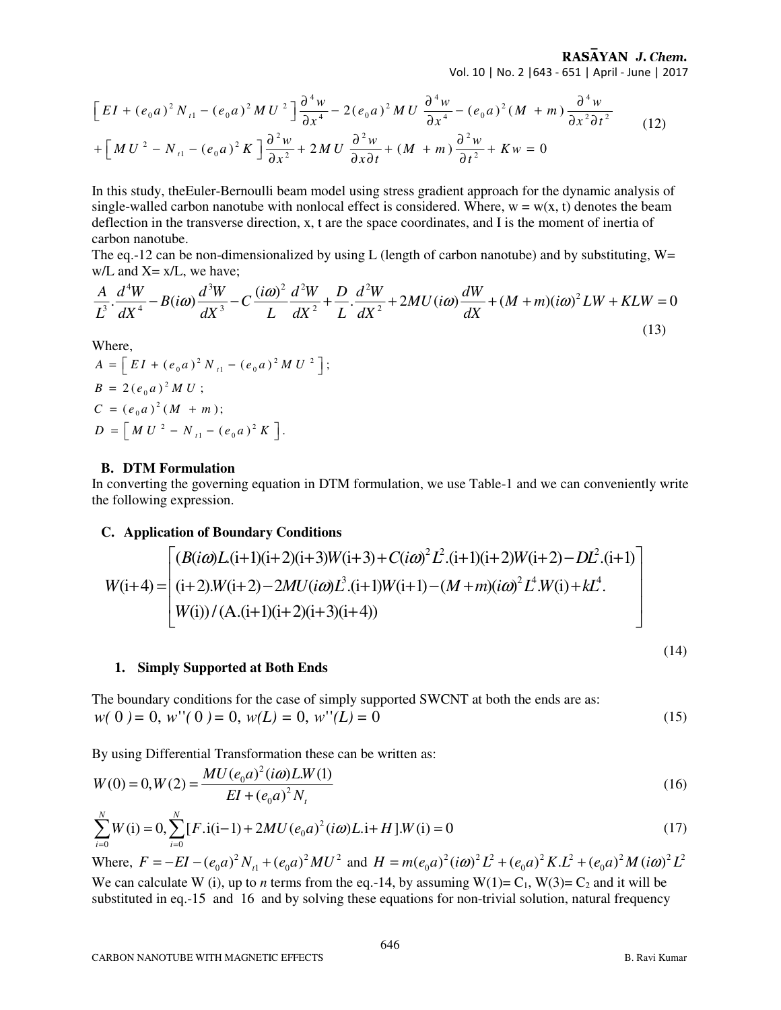RASAYAN J. Chem. Vol. 10 | No. 2 |643 - 651 | April - June | 2017

$$
\[ EI + (e_0 a)^2 N_{t1} - (e_0 a)^2 MU^2 \] \frac{\partial^4 w}{\partial x^4} - 2(e_0 a)^2 MU \frac{\partial^4 w}{\partial x^4} - (e_0 a)^2 (M + m) \frac{\partial^4 w}{\partial x^2 \partial t^2} \qquad (12)
$$
  
+ 
$$
\[ MU^2 - N_{t1} - (e_0 a)^2 K \] \frac{\partial^2 w}{\partial x^2} + 2 MU \frac{\partial^2 w}{\partial x \partial t} + (M + m) \frac{\partial^2 w}{\partial t^2} + Kw = 0 \]
$$

In this study, theEuler-Bernoulli beam model using stress gradient approach for the dynamic analysis of single-walled carbon nanotube with nonlocal effect is considered. Where,  $w = w(x, t)$  denotes the beam deflection in the transverse direction, x, t are the space coordinates, and I is the moment of inertia of carbon nanotube.

The eq.-12 can be non-dimensionalized by using L (length of carbon nanotube) and by substituting,  $W=$  $w/L$  and  $X = x/L$ , we have;

$$
\frac{A}{L^3} \cdot \frac{d^4 W}{dX^4} - B(i\omega) \frac{d^3 W}{dX^3} - C \frac{(i\omega)^2}{L} \frac{d^2 W}{dX^2} + \frac{D}{L} \cdot \frac{d^2 W}{dX^2} + 2MU(i\omega) \frac{dW}{dX} + (M+m)(i\omega)^2 LW + KLW = 0
$$
\n(13)

Where,

$$
A = \left[ EI + (e_0 a)^2 N_{i1} - (e_0 a)^2 MU^2 \right];
$$
  
\n
$$
B = 2(e_0 a)^2 MU;
$$
  
\n
$$
C = (e_0 a)^2 (M + m);
$$
  
\n
$$
D = \left[ MU^2 - N_{i1} - (e_0 a)^2 K \right].
$$

#### **B. DTM Formulation**

In converting the governing equation in DTM formulation, we use Table-1 and we can conveniently write the following expression.

# **C. Application of Boundary Conditions**

$$
W(i+4) = \begin{bmatrix} (B(i\omega)L(i+1)(i+2)(i+3)W(i+3) + C(i\omega)^2 L^2 \cdot (i+1)(i+2)W(i+2) - DL^2 \cdot (i+1) \\ (i+2) \cdot W(i+2) - 2MU(i\omega)L^3 \cdot (i+1)W(i+1) - (M+m)(i\omega)^2 L^4 \cdot W(i) + kL^4 \\ W(i)) / (A \cdot (i+1)(i+2)(i+3)(i+4)) \end{bmatrix}
$$

#### **1. Simply Supported at Both Ends**

The boundary conditions for the case of simply supported SWCNT at both the ends are as:  $w(0) = 0, w''(0) = 0, w(L) = 0, w''(L) = 0$  (15)

By using Differential Transformation these can be written as:

$$
W(0) = 0, W(2) = \frac{MU(e_0 a)^2 (i\omega) L.W(1)}{EI + (e_0 a)^2 N_t}
$$
\n(16)

$$
\sum_{i=0}^{N} W(i) = 0, \sum_{i=0}^{N} [F \cdot i(i-1) + 2MU(e_0 a)^2 (i\omega) L \cdot i + H] \cdot W(i) = 0
$$
\n(17)

Where,  $F = -EI - (e_0 a)^2 N_{t1} + (e_0 a)^2 MU^2$  and  $H = m(e_0 a)^2 (i\omega)^2 L^2 + (e_0 a)^2 KL^2 + (e_0 a)^2 M (i\omega)^2 L^2$ We can calculate W (i), up to *n* terms from the eq.-14, by assuming  $W(1) = C_1$ ,  $W(3) = C_2$  and it will be substituted in eq.-15 and 16 and by solving these equations for non-trivial solution, natural frequency

(14)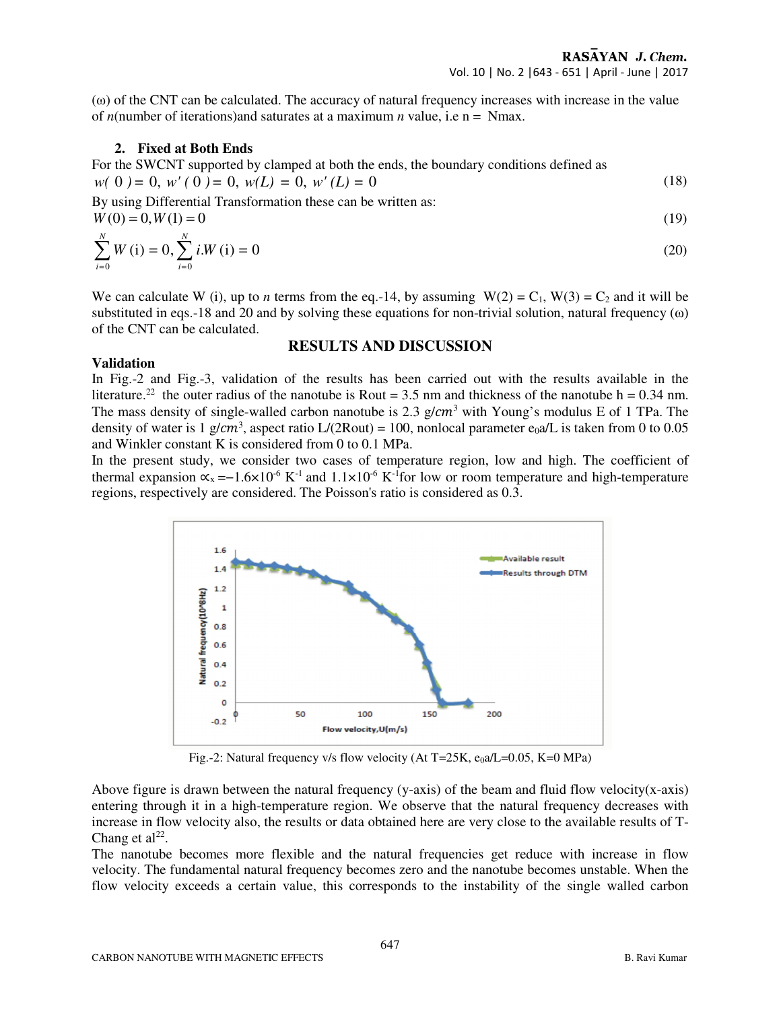(ω) of the CNT can be calculated. The accuracy of natural frequency increases with increase in the value of *n*(number of iterations)and saturates at a maximum *n* value, i.e n = Nmax.

## **2. Fixed at Both Ends**

For the SWCNT supported by clamped at both the ends, the boundary conditions defined as  $w(0) = 0, w'(0) = 0, w(L) = 0, w'(L) = 0$  (18)

By using Differential Transformation these can be written as:

 $W(0) = 0, W(1) = 0$  (19)  $(i) = 0, \sum i.W (i) = 0$ *N N W* (i) = 0,  $\sum$  *i.W*  $\sum^{\infty} W(i) = 0, \sum^{\infty} i.W(i) = 0$  (20)

We can calculate W (i), up to *n* terms from the eq.-14, by assuming  $W(2) = C_1$ ,  $W(3) = C_2$  and it will be substituted in eqs.-18 and 20 and by solving these equations for non-trivial solution, natural frequency  $(\omega)$ of the CNT can be calculated.

## **RESULTS AND DISCUSSION**

#### **Validation**

0  $i=0$ 

*i*=0 *i* 

 $i = 0$   $i =$ 

In Fig.-2 and Fig.-3, validation of the results has been carried out with the results available in the literature.<sup>22</sup> the outer radius of the nanotube is Rout = 3.5 nm and thickness of the nanotube h = 0.34 nm. The mass density of single-walled carbon nanotube is 2.3  $g/cm^3$  with Young's modulus E of 1 TPa. The density of water is 1 g/cm<sup>3</sup>, aspect ratio L/(2Rout) = 100, nonlocal parameter e<sub>0</sub>a/L is taken from 0 to 0.05 and Winkler constant K is considered from 0 to 0.1 MPa.

In the present study, we consider two cases of temperature region, low and high. The coefficient of thermal expansion  $\alpha_x = -1.6 \times 10^{-6} \text{ K}^{-1}$  and  $1.1 \times 10^{-6} \text{ K}^{-1}$  for low or room temperature and high-temperature regions, respectively are considered. The Poisson's ratio is considered as 0.3.



Fig.-2: Natural frequency v/s flow velocity (At T=25K, e<sub>0</sub>a/L=0.05, K=0 MPa)

Above figure is drawn between the natural frequency (y-axis) of the beam and fluid flow velocity(x-axis) entering through it in a high-temperature region. We observe that the natural frequency decreases with increase in flow velocity also, the results or data obtained here are very close to the available results of T-Chang et  $al^{22}$ .

The nanotube becomes more flexible and the natural frequencies get reduce with increase in flow velocity. The fundamental natural frequency becomes zero and the nanotube becomes unstable. When the flow velocity exceeds a certain value, this corresponds to the instability of the single walled carbon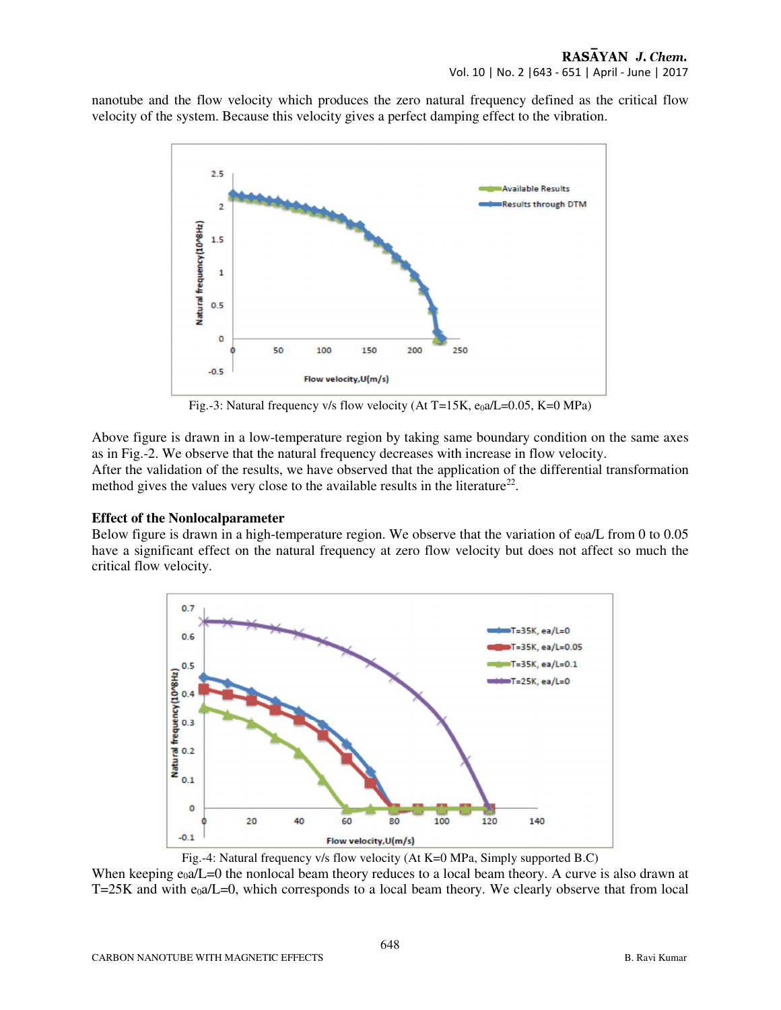nanotube and the flow velocity which produces the zero natural frequency defined as the critical flow velocity of the system. Because this velocity gives a perfect damping effect to the vibration.



Fig.-3: Natural frequency v/s flow velocity (At T=15K, e<sub>0</sub>a/L=0.05, K=0 MPa)

Above figure is drawn in a low-temperature region by taking same boundary condition on the same axes as in Fig.-2. We observe that the natural frequency decreases with increase in flow velocity. After the validation of the results, we have observed that the application of the differential transformation

method gives the values very close to the available results in the literature<sup>22</sup>.

# **Effect of the Nonlocalparameter**

Below figure is drawn in a high-temperature region. We observe that the variation of  $e_0a/L$  from 0 to 0.05 have a significant effect on the natural frequency at zero flow velocity but does not affect so much the critical flow velocity.



Fig.-4: Natural frequency v/s flow velocity (At K=0 MPa, Simply supported B.C)

When keeping  $e_0a/L=0$  the nonlocal beam theory reduces to a local beam theory. A curve is also drawn at  $T=25K$  and with e<sub>0</sub>a/L=0, which corresponds to a local beam theory. We clearly observe that from local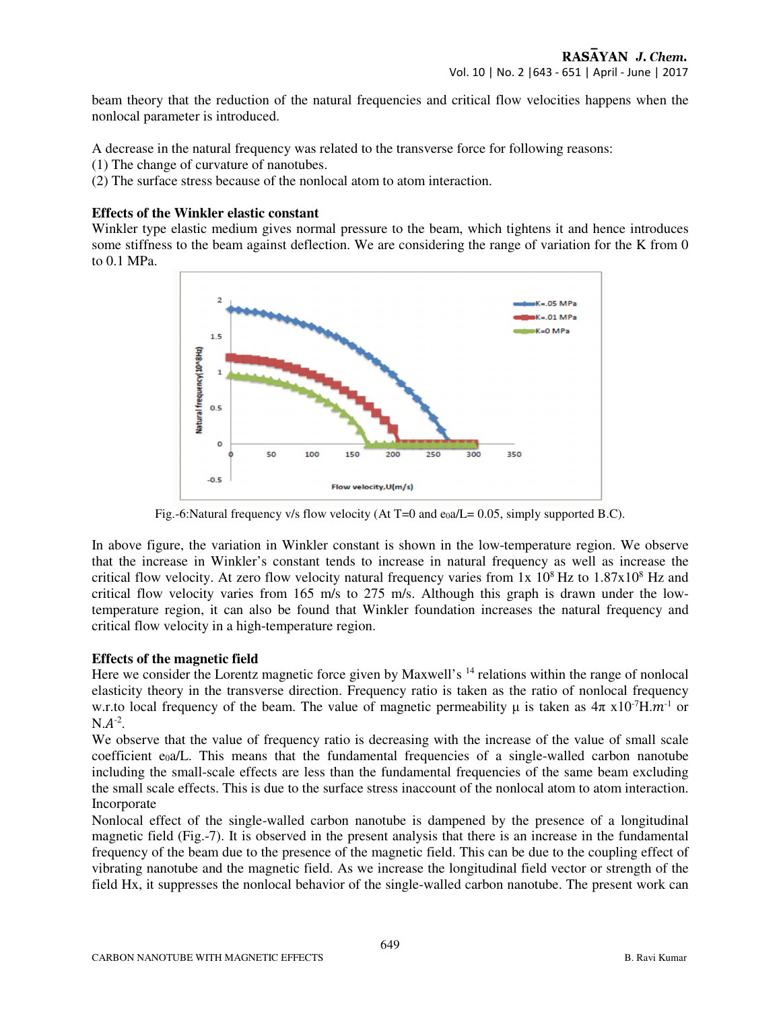beam theory that the reduction of the natural frequencies and critical flow velocities happens when the nonlocal parameter is introduced.

A decrease in the natural frequency was related to the transverse force for following reasons:

(1) The change of curvature of nanotubes.

(2) The surface stress because of the nonlocal atom to atom interaction.

## **Effects of the Winkler elastic constant**

Winkler type elastic medium gives normal pressure to the beam, which tightens it and hence introduces some stiffness to the beam against deflection. We are considering the range of variation for the K from 0 to 0.1 MPa.



Fig.-6:Natural frequency v/s flow velocity (At T=0 and  $e_0a/L = 0.05$ , simply supported B.C).

In above figure, the variation in Winkler constant is shown in the low-temperature region. We observe that the increase in Winkler's constant tends to increase in natural frequency as well as increase the critical flow velocity. At zero flow velocity natural frequency varies from  $1x\ 10^8$  Hz to  $1.87x10^8$  Hz and critical flow velocity varies from 165 m/s to 275 m/s. Although this graph is drawn under the lowtemperature region, it can also be found that Winkler foundation increases the natural frequency and critical flow velocity in a high-temperature region.

## **Effects of the magnetic field**

Here we consider the Lorentz magnetic force given by Maxwell's <sup>14</sup> relations within the range of nonlocal elasticity theory in the transverse direction. Frequency ratio is taken as the ratio of nonlocal frequency w.r.to local frequency of the beam. The value of magnetic permeability  $\mu$  is taken as  $4\pi \times 10^{-7}$ H. $m^{-1}$  or  $N.A^{-2}$ .

We observe that the value of frequency ratio is decreasing with the increase of the value of small scale coefficient e<sub>0</sub>a/L. This means that the fundamental frequencies of a single-walled carbon nanotube including the small-scale effects are less than the fundamental frequencies of the same beam excluding the small scale effects. This is due to the surface stress inaccount of the nonlocal atom to atom interaction. **Incorporate** 

Nonlocal effect of the single-walled carbon nanotube is dampened by the presence of a longitudinal magnetic field (Fig.-7). It is observed in the present analysis that there is an increase in the fundamental frequency of the beam due to the presence of the magnetic field. This can be due to the coupling effect of vibrating nanotube and the magnetic field. As we increase the longitudinal field vector or strength of the field Hx, it suppresses the nonlocal behavior of the single-walled carbon nanotube. The present work can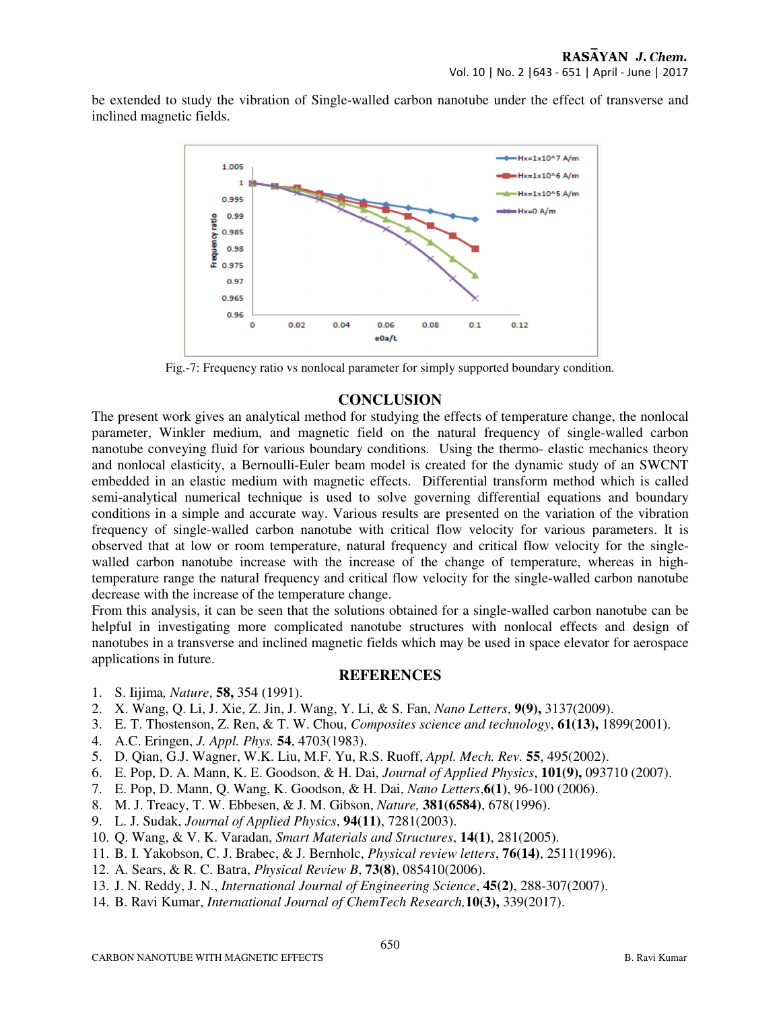be extended to study the vibration of Single-walled carbon nanotube under the effect of transverse and inclined magnetic fields.



Fig.-7: Frequency ratio vs nonlocal parameter for simply supported boundary condition.

# **CONCLUSION**

The present work gives an analytical method for studying the effects of temperature change, the nonlocal parameter, Winkler medium, and magnetic field on the natural frequency of single-walled carbon nanotube conveying fluid for various boundary conditions. Using the thermo- elastic mechanics theory and nonlocal elasticity, a Bernoulli-Euler beam model is created for the dynamic study of an SWCNT embedded in an elastic medium with magnetic effects. Differential transform method which is called semi-analytical numerical technique is used to solve governing differential equations and boundary conditions in a simple and accurate way. Various results are presented on the variation of the vibration frequency of single-walled carbon nanotube with critical flow velocity for various parameters. It is observed that at low or room temperature, natural frequency and critical flow velocity for the singlewalled carbon nanotube increase with the increase of the change of temperature, whereas in hightemperature range the natural frequency and critical flow velocity for the single-walled carbon nanotube decrease with the increase of the temperature change.

From this analysis, it can be seen that the solutions obtained for a single-walled carbon nanotube can be helpful in investigating more complicated nanotube structures with nonlocal effects and design of nanotubes in a transverse and inclined magnetic fields which may be used in space elevator for aerospace applications in future.

## **REFERENCES**

- 1. S. Iijima*, Nature*, **58,** 354 (1991).
- 2. X. Wang, Q. Li, J. Xie, Z. Jin, J. Wang, Y. Li, & S. Fan, *Nano Letters*, **9(9),** 3137(2009).
- 3. E. T. Thostenson, Z. Ren, & T. W. Chou, *Composites science and technology*, **61(13),** 1899(2001).
- 4. A.C. Eringen, *J. Appl. Phys.* **54**, 4703(1983).
- 5. D. Qian, G.J. Wagner, W.K. Liu, M.F. Yu, R.S. Ruoff, *Appl. Mech. Rev.* **55**, 495(2002).
- 6. E. Pop, D. A. Mann, K. E. Goodson, & H. Dai, *Journal of Applied Physics*, **101(9),** 093710 (2007).
- 7. E. Pop, D. Mann, Q. Wang, K. Goodson, & H. Dai, *Nano Letters*,**6(1)**, 96-100 (2006).
- 8. M. J. Treacy, T. W. Ebbesen, & J. M. Gibson, *Nature,* **381(6584)**, 678(1996).
- 9. L. J. Sudak, *Journal of Applied Physics*, **94(11)**, 7281(2003).
- 10. Q. Wang, & V. K. Varadan, *Smart Materials and Structures*, **14(1)**, 281(2005).
- 11. B. I. Yakobson, C. J. Brabec, & J. Bernholc, *Physical review letters*, **76(14)**, 2511(1996).
- 12. A. Sears, & R. C. Batra, *Physical Review B*, **73(8)**, 085410(2006).
- 13. J. N. Reddy, J. N., *International Journal of Engineering Science*, **45(2)**, 288-307(2007).
- 14. B. Ravi Kumar, *International Journal of ChemTech Research,***10(3),** 339(2017).